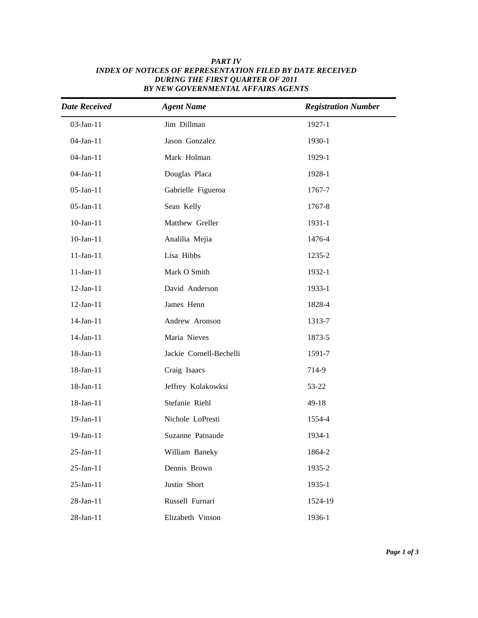| <b>Date Received</b> | <b>Agent Name</b>       | <b>Registration Number</b> |
|----------------------|-------------------------|----------------------------|
| 03-Jan-11            | Jim Dillman             | 1927-1                     |
| 04-Jan-11            | Jason Gonzalez          | 1930-1                     |
| 04-Jan-11            | Mark Holman             | 1929-1                     |
| 04-Jan-11            | Douglas Placa           | 1928-1                     |
| 05-Jan-11            | Gabrielle Figueroa      | 1767-7                     |
| 05-Jan-11            | Sean Kelly              | 1767-8                     |
| $10$ -Jan- $11$      | Matthew Greller         | 1931-1                     |
| $10$ -Jan- $11$      | Analilia Mejia          | 1476-4                     |
| $11-Jan-11$          | Lisa Hibbs              | 1235-2                     |
| $11$ -Jan- $11$      | Mark O Smith            | 1932-1                     |
| 12-Jan-11            | David Anderson          | 1933-1                     |
| $12$ -Jan- $11$      | James Henn              | 1828-4                     |
| 14-Jan-11            | Andrew Aronson          | 1313-7                     |
| 14-Jan-11            | Maria Nieves            | 1873-5                     |
| 18-Jan-11            | Jackie Cornell-Bechelli | 1591-7                     |
| 18-Jan-11            | Craig Isaacs            | 714-9                      |
| 18-Jan-11            | Jeffrey Kolakowksi      | 53-22                      |
| 18-Jan-11            | Stefanie Riehl          | $49 - 18$                  |
| 19-Jan-11            | Nichole LoPresti        | 1554-4                     |
| 19-Jan-11            | Suzanne Patnaude        | 1934-1                     |
| 25-Jan-11            | William Baneky          | 1864-2                     |
| 25-Jan-11            | Dennis Brown            | 1935-2                     |
| 25-Jan-11            | Justin Short            | 1935-1                     |
| 28-Jan-11            | Russell Furnari         | 1524-19                    |
| 28-Jan-11            | Elizabeth Vinson        | 1936-1                     |

## *Active date Last Name Full Number Full Name INDEX OF NOTICES OF REPRESENTATION FILED BY DATE RECEIVED PART IV DURING THE FIRST QUARTER OF 2011 BY NEW GOVERNMENTAL AFFAIRS AGENTS*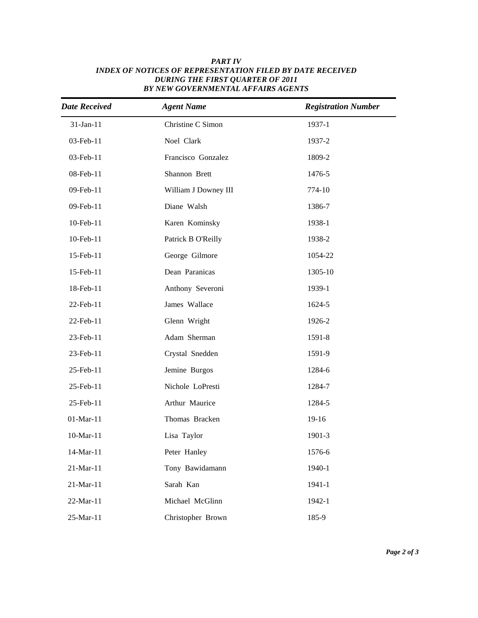| <b>Date Received</b> | <b>Agent Name</b>    | <b>Registration Number</b> |
|----------------------|----------------------|----------------------------|
| 31-Jan-11            | Christine C Simon    | 1937-1                     |
| 03-Feb-11            | Noel Clark           | 1937-2                     |
| 03-Feb-11            | Francisco Gonzalez   | 1809-2                     |
| 08-Feb-11            | Shannon Brett        | 1476-5                     |
| 09-Feb-11            | William J Downey III | 774-10                     |
| 09-Feb-11            | Diane Walsh          | 1386-7                     |
| 10-Feb-11            | Karen Kominsky       | 1938-1                     |
| 10-Feb-11            | Patrick B O'Reilly   | 1938-2                     |
| 15-Feb-11            | George Gilmore       | 1054-22                    |
| 15-Feb-11            | Dean Paranicas       | 1305-10                    |
| 18-Feb-11            | Anthony Severoni     | 1939-1                     |
| 22-Feb-11            | James Wallace        | 1624-5                     |
| 22-Feb-11            | Glenn Wright         | 1926-2                     |
| 23-Feb-11            | Adam Sherman         | 1591-8                     |
| 23-Feb-11            | Crystal Snedden      | 1591-9                     |
| 25-Feb-11            | Jemine Burgos        | 1284-6                     |
| 25-Feb-11            | Nichole LoPresti     | 1284-7                     |
| 25-Feb-11            | Arthur Maurice       | 1284-5                     |
| $01-Mar-11$          | Thomas Bracken       | 19-16                      |
| 10-Mar-11            | Lisa Taylor          | 1901-3                     |
| 14-Mar-11            | Peter Hanley         | 1576-6                     |
| 21-Mar-11            | Tony Bawidamann      | 1940-1                     |
| 21-Mar-11            | Sarah Kan            | 1941-1                     |
| 22-Mar-11            | Michael McGlinn      | 1942-1                     |
| 25-Mar-11            | Christopher Brown    | 185-9                      |

## *Active date Last Name Full Number Full Name INDEX OF NOTICES OF REPRESENTATION FILED BY DATE RECEIVED PART IV DURING THE FIRST QUARTER OF 2011 BY NEW GOVERNMENTAL AFFAIRS AGENTS*